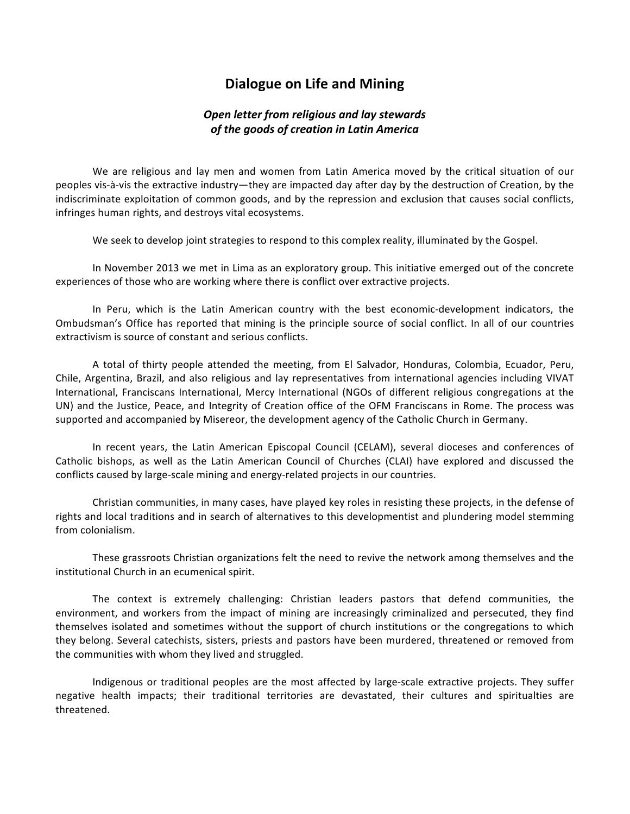## **Dialogue on Life and Mining**

## **Open letter from religious and lay stewards of the goods of creation in Latin America**

We are religious and lay men and women from Latin America moved by the critical situation of our peoples vis-à-vis the extractive industry—they are impacted day after day by the destruction of Creation, by the indiscriminate exploitation of common goods, and by the repression and exclusion that causes social conflicts, infringes human rights, and destroys vital ecosystems.

We seek to develop joint strategies to respond to this complex reality, illuminated by the Gospel.

In November 2013 we met in Lima as an exploratory group. This initiative emerged out of the concrete experiences of those who are working where there is conflict over extractive projects.

In Peru, which is the Latin American country with the best economic-development indicators, the Ombudsman's Office has reported that mining is the principle source of social conflict. In all of our countries extractivism is source of constant and serious conflicts.

A total of thirty people attended the meeting, from El Salvador, Honduras, Colombia, Ecuador, Peru, Chile, Argentina, Brazil, and also religious and lay representatives from international agencies including VIVAT International, Franciscans International, Mercy International (NGOs of different religious congregations at the UN) and the Justice, Peace, and Integrity of Creation office of the OFM Franciscans in Rome. The process was supported and accompanied by Misereor, the development agency of the Catholic Church in Germany.

In recent years, the Latin American Episcopal Council (CELAM), several dioceses and conferences of Catholic bishops, as well as the Latin American Council of Churches (CLAI) have explored and discussed the conflicts caused by large-scale mining and energy-related projects in our countries.

Christian communities, in many cases, have played key roles in resisting these projects, in the defense of rights and local traditions and in search of alternatives to this developmentist and plundering model stemming from colonialism.!

These grassroots Christian organizations felt the need to revive the network among themselves and the institutional Church in an ecumenical spirit.

The context is extremely challenging: Christian leaders pastors that defend communities, the environment, and workers from the impact of mining are increasingly criminalized and persecuted, they find themselves isolated and sometimes without the support of church institutions or the congregations to which they belong. Several catechists, sisters, priests and pastors have been murdered, threatened or removed from the communities with whom they lived and struggled.

Indigenous or traditional peoples are the most affected by large-scale extractive projects. They suffer negative health impacts; their traditional territories are devastated, their cultures and spiritualties are threatened.!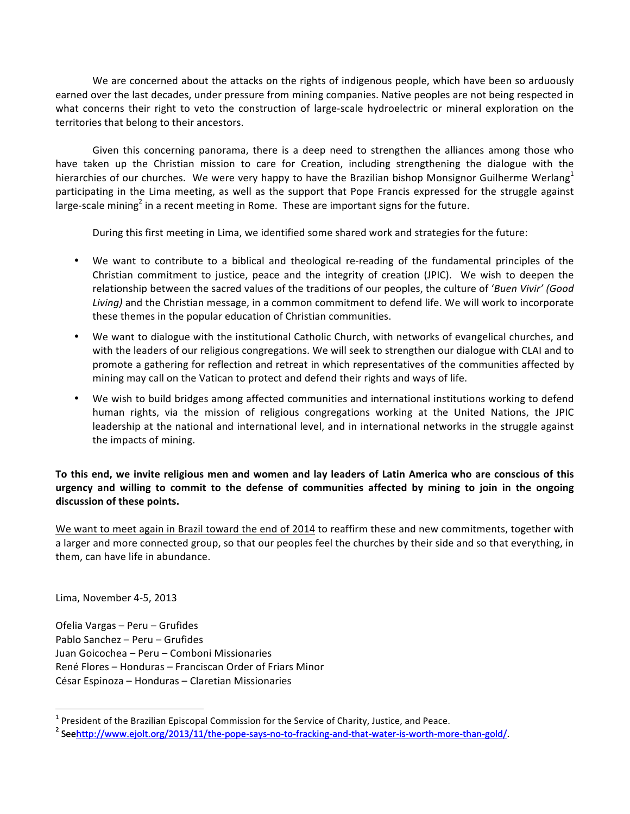We are concerned about the attacks on the rights of indigenous people, which have been so arduously earned over the last decades, under pressure from mining companies. Native peoples are not being respected in what concerns their right to veto the construction of large-scale hydroelectric or mineral exploration on the territories that belong to their ancestors.

Given this concerning panorama, there is a deep need to strengthen the alliances among those who have taken up the Christian mission to care for Creation, including strengthening the dialogue with the hierarchies of our churches. We were very happy to have the Brazilian bishop Monsignor Guilherme Werlang<sup>1</sup> participating in the Lima meeting, as well as the support that Pope Francis expressed for the struggle against large-scale mining<sup>2</sup> in a recent meeting in Rome. These are important signs for the future.

During this first meeting in Lima, we identified some shared work and strategies for the future:

- We want to contribute to a biblical and theological re-reading of the fundamental principles of the Christian commitment to justice, peace and the integrity of creation (JPIC). We wish to deepen the relationship between the sacred values of the traditions of our peoples, the culture of '*Buen Vivir' (Good Living*) and the Christian message, in a common commitment to defend life. We will work to incorporate these themes in the popular education of Christian communities.
- We want to dialogue with the institutional Catholic Church, with networks of evangelical churches, and with the leaders of our religious congregations. We will seek to strengthen our dialogue with CLAI and to promote a gathering for reflection and retreat in which representatives of the communities affected by mining may call on the Vatican to protect and defend their rights and ways of life.
- We wish to build bridges among affected communities and international institutions working to defend human rights, via the mission of religious congregations working at the United Nations, the JPIC leadership at the national and international level, and in international networks in the struggle against the impacts of mining.

## To this end, we invite religious men and women and lay leaders of Latin America who are conscious of this **urgency) and) willing) to) commit) to) the) defense) of) communities) affected) by) mining) to) join) in) the) ongoing)** discussion of these points.

We want to meet again in Brazil toward the end of 2014 to reaffirm these and new commitments, together with a larger and more connected group, so that our peoples feel the churches by their side and so that everything, in them, can have life in abundance.

Lima, November 4-5, 2013

Ofelia Vargas – Peru – Grufides Pablo Sanchez – Peru – Grufides Juan Goicochea – Peru – Comboni Missionaries René Flores – Honduras – Franciscan Order of Friars Minor César Espinoza – Honduras – Claretian Missionaries

<sup>&</sup>lt;sup>1</sup> President of the Brazilian Episcopal Commission for the Service of Charity, Justice, and Peace.  $2$  Seehttp://www.ejolt.org/2013/11/the-pope-says-no-to-fracking-and-that-water-is-worth-more-than-gold/.